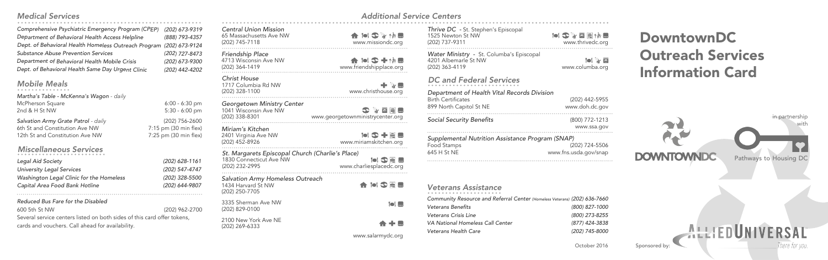### *Medical Services*

*Comprehensive Psychiatric Emergency Program (CPEP) (202) 673-9319 Department of Behavioral Health Access Helpline (888) 793-4357* Dept. of Behavioral Health Homeless Outreach Program (202) 673-912 *Substance Abuse Prevention Services (202) 727-8473 Department of Behavioral Health Mobile Crisis (202) 673-9300 Dept. of Behavioral Health Same Day Urgent Clinic (202) 442-420* 

## *Mobile Meals*

*Martha's Table - McKenna's Wagon - daily*  McPherson Square 6:00 - 6:30 pm 2nd & H St NW 5:30 - 6:00 pm

**Salvation Army Grate Patrol** *- daily* (202) 756-2600<br>
6th St and Constitution Ave NW 7:15 pm (30 min flex 6th St and Constitution Ave NW 12th St and Constitution Ave NW 7:25 pm (30 min flex)

## *Miscellaneous Services*

#### *Reduced Bus Fare for the Disabled* 600 5th St NW (202) 962-2700

Several service centers listed on both sides of this card offer tokens, cards and vouchers. Call ahead for availability.

| (202) 673-9319<br>(888) 793-4357<br>(202) 673-9124<br>(202) 727-8473<br>(202) 673-9300<br>(202) 442-4202 | <b>Central Union Mission</b><br>65 Massachusetts Ave NW<br>(202) 745-7118                     | www.missiondc.org                                              |
|----------------------------------------------------------------------------------------------------------|-----------------------------------------------------------------------------------------------|----------------------------------------------------------------|
|                                                                                                          | Friendship Place<br>4713 Wisconsin Ave NW<br>(202) 364-1419                                   | 合同多十物园<br>www.friendshipplace.org                              |
|                                                                                                          | Christ House<br>1717 Columbia Rd NW<br>(202) 328-1100                                         | ‡ * ™<br>www.christhouse.org                                   |
| $6:00 - 6:30$ pm<br>$5:30 - 6:00$ pm                                                                     | Georgetown Ministry Center<br>1041 Wisconsin Ave NW<br>(202) 338-8301                         | 3779<br>www.georgetownministrycenter.org                       |
| (202) 756-2600<br>pm (30 min flex)<br>pm (30 min flex)                                                   | Miriam's Kitchen<br>2401 Virginia Ave NW<br>(202) 452-8926                                    | www.miriamskitchen.org                                         |
| (202) 628-1161<br>(202) 547-4747                                                                         | St. Margarets Episcopal Church (Charlie's Place)<br>1830 Connecticut Ave NW<br>(202) 232-2995 | $\bullet$ 3 $\equiv$ $\blacksquare$<br>www.charliesplacedc.org |
| (202) 328-5500<br>(202) 644-9807                                                                         | Salvation Army Homeless Outreach<br>1434 Harvard St NW<br>(202) 250-7705                      | <b>A</b> iol S E M                                             |
| (202) 962-2700                                                                                           | 3335 Sherman Ave NW<br>(202) 829-0100                                                         | <b>Toi </b>                                                    |
| ffer tokens,                                                                                             | 2100 New York Ave NE<br>(202) 269-6333                                                        | ★ + ■                                                          |
|                                                                                                          |                                                                                               | www.salarmydc.org                                              |

# *Additional Service Centers*

| Thrive DC - St. Stephen's Episcopal<br>1525 Newton St NW<br>(202) 737-9311         | ISYO Era E<br>www.thrivedc.org    |
|------------------------------------------------------------------------------------|-----------------------------------|
| Water Ministry - St. Columba's Episcopal<br>4201 Albemarle St NW<br>(202) 363-4119 | $\blacksquare$<br>www.columba.org |

*Department of Health Vital Records Division DC and Federal Services*

| Department of Health vital Records Division |                |
|---------------------------------------------|----------------|
| Birth Certificates                          | (202) 442-5955 |
| 899 North Capitol St NE                     | www.doh.dc.gov |
| .                                           |                |

*Social Security Benefits* (800) 772-1213 www.ssa.gov

| Supplemental Nutrition Assistance Program (SNAP) |                       |  |  |
|--------------------------------------------------|-----------------------|--|--|
| Food Stamps                                      | (202) 724-5506        |  |  |
| 645 H St NE                                      | www.fns.usda.gov/snap |  |  |
|                                                  |                       |  |  |

## *Veterans Assistance*

| Community Resource and Referral Center (Homeless Veterans) (202) 636-7660 |                |
|---------------------------------------------------------------------------|----------------|
| <b>Veterans Benefits</b>                                                  | (800) 827-1000 |
| Veterans Crisis Line                                                      | (800) 273-8255 |
| VA National Homeless Call Center                                          | (877) 424-3838 |
| Veterans Health Care                                                      | (202) 745-8000 |

DowntownDC Outreach Services Information Card